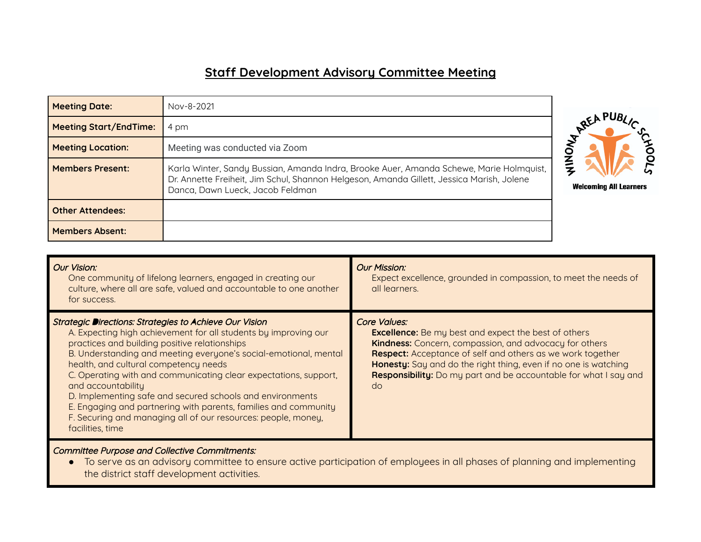## **Staff Development Advisory Committee Meeting**

| <b>Meeting Date:</b>          | Nov-8-2021                                                                                                                                                                                                               |                               |
|-------------------------------|--------------------------------------------------------------------------------------------------------------------------------------------------------------------------------------------------------------------------|-------------------------------|
| <b>Meeting Start/EndTime:</b> | 4 pm                                                                                                                                                                                                                     | REAPUP.                       |
| <b>Meeting Location:</b>      | Meeting was conducted via Zoom                                                                                                                                                                                           |                               |
| <b>Members Present:</b>       | Karla Winter, Sandy Bussian, Amanda Indra, Brooke Auer, Amanda Schewe, Marie Holmquist,<br>Dr. Annette Freiheit, Jim Schul, Shannon Helgeson, Amanda Gillett, Jessica Marish, Jolene<br>Danca, Dawn Lueck, Jacob Feldman | <b>Welcoming All Learners</b> |
| <b>Other Attendees:</b>       |                                                                                                                                                                                                                          |                               |
| <b>Members Absent:</b>        |                                                                                                                                                                                                                          |                               |



Committee Purpose and Collective Commitments:

● To serve as an advisory committee to ensure active participation of employees in all phases of planning and implementing the district staff development activities.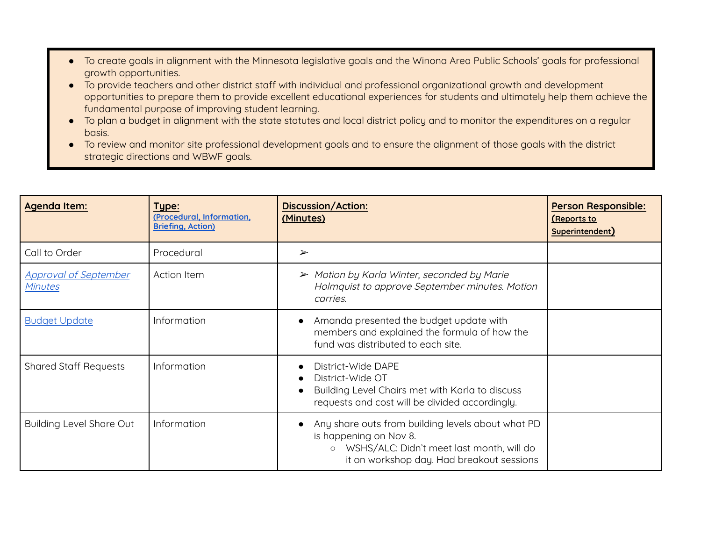- To create goals in alignment with the Minnesota legislative goals and the Winona Area Public Schools' goals for professional growth opportunities.
- To provide teachers and other district staff with individual and professional organizational growth and development opportunities to prepare them to provide excellent educational experiences for students and ultimately help them achieve the fundamental purpose of improving student learning.
- To plan a budget in alignment with the state statutes and local district policy and to monitor the expenditures on a regular basis.
- To review and monitor site professional development goals and to ensure the alignment of those goals with the district strategic directions and WBWF goals.

| Agenda Item:                            | Type:<br>(Procedural, Information,<br><b>Briefing, Action)</b> | <b>Discussion/Action:</b><br>(Minutes)                                                                                                                                           | <b>Person Responsible:</b><br><u>(Reports to</u><br>Superintendent) |
|-----------------------------------------|----------------------------------------------------------------|----------------------------------------------------------------------------------------------------------------------------------------------------------------------------------|---------------------------------------------------------------------|
| Call to Order                           | Procedural                                                     | $\blacktriangleright$                                                                                                                                                            |                                                                     |
| <b>Approval of September</b><br>Minutes | Action Item                                                    | $\triangleright$ Motion by Karla Winter, seconded by Marie<br>Holmquist to approve September minutes. Motion<br>carries.                                                         |                                                                     |
| <b>Budget Update</b>                    | Information                                                    | Amanda presented the budget update with<br>members and explained the formula of how the<br>fund was distributed to each site.                                                    |                                                                     |
| <b>Shared Staff Requests</b>            | Information                                                    | District-Wide DAPE<br>District-Wide OT<br>Building Level Chairs met with Karla to discuss<br>requests and cost will be divided accordingly.                                      |                                                                     |
| <b>Building Level Share Out</b>         | Information                                                    | Any share outs from building levels about what PD<br>is happening on Nov 8.<br>WSHS/ALC: Didn't meet last month, will do<br>$\circ$<br>it on workshop day. Had breakout sessions |                                                                     |